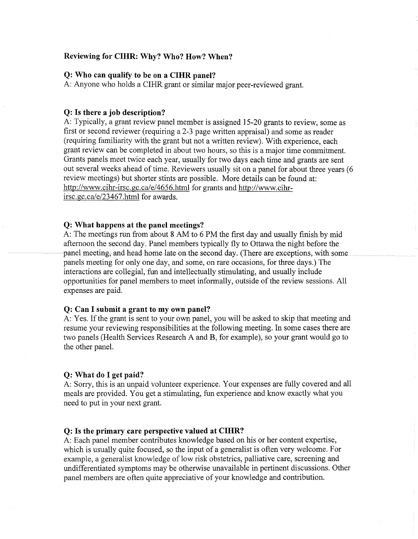## **Reviewing for CIHR: Why? Who? How? When?**

## **Q: Who can qualify to be on a CIHR panel?**

A: Anyone who holds a CIHR grant or similar major peer-reviewed grant.

## **Q: Is there a job description?**

A: Typically, a grant review panel member is assigned 15-20 grants to review, some as first or second reviewer (requiring a 2-3 page written appraisal) and some as reader (requiring familiarity with the grant but not a written review). With experience, each grant review can be completed in about two hours, so this is a major time commitment. Grants panels meet twice each year, usually for two days each time and grants are sent out several weeks ahead of time. Reviewers usually sit on a panel for about three years (6 review meetings) but shorter stints are possible. More details can be found at: http://www.cihr-irsc.gc.ca/e/4656.html for grants and http://www.cihrirsc.gc.ca/e/23467.html for awards.

### **Q: What happens at the panel meetings?**

A: The meetings run from about 8 AM to 6 PM the first day and usually finish by mid afternoon the second day. Panel members typically fly to Ottawa the night before the panel meeting, and head home late on the second day. (There are exceptions, with some panels meeting for only one day, and some, on rare occasions, for three days.) The interactions are collegial, fun and intellectually stimulating, and usually include opportunities for panel members to meet informally, outside of the review sessions. All expenses are paid.

### **Q: Can I submit a grant to my own panel?**

A: Yes. If the grant is sent to your own panel, you will be asked to skip that meeting and resume your reviewing responsibilities at the following meeting. In some cases there are two panels (Health Services Research A and **B,** for example), so your grant would go to the other panel.

#### **Q: What do I get paid?**

A: Sorry, this is an unpaid volunteer experience. Your expenses are fully covered and all meals are provided. You get a stimulating, fun experience and know exactly what you need to put in your next grant.

#### **Q: Is the primary care perspective valued at CIHR?**

A: Each panel member contributes knowledge based on his or her content expertise, which is usually quite focused, so the input of a generalist is often very welcome. For example, a generalist knowledge of low risk obstetrics, palliative care, screening and undifferentiated symptoms may be otherwise unavailable in pertinent discussions. Other panel members are often quite appreciative of your knowledge and contribution.